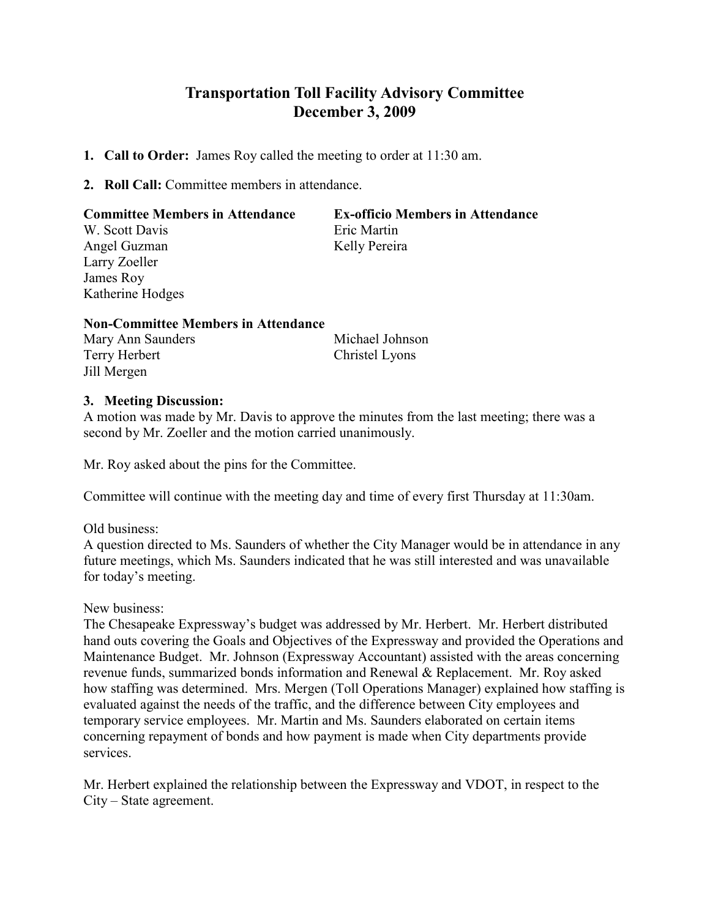# Transportation Toll Facility Advisory Committee December 3, 2009

- 1. Call to Order: James Roy called the meeting to order at 11:30 am.
- 2. Roll Call: Committee members in attendance.

| <b>Committee Members in Attendance</b> | <b>Ex-officio Members in Attendance</b> |
|----------------------------------------|-----------------------------------------|
| W. Scott Davis                         | Eric Martin                             |
| Angel Guzman                           | Kelly Pereira                           |
| Larry Zoeller                          |                                         |
| James Roy                              |                                         |
| Katherine Hodges                       |                                         |

# Non-Committee Members in Attendance

| Mary Ann Saunders | Michael Johnson |
|-------------------|-----------------|
| Terry Herbert     | Christel Lyons  |
| Jill Mergen       |                 |

# 3. Meeting Discussion:

A motion was made by Mr. Davis to approve the minutes from the last meeting; there was a second by Mr. Zoeller and the motion carried unanimously.

Mr. Roy asked about the pins for the Committee.

Committee will continue with the meeting day and time of every first Thursday at 11:30am.

# Old business:

A question directed to Ms. Saunders of whether the City Manager would be in attendance in any future meetings, which Ms. Saunders indicated that he was still interested and was unavailable for today's meeting.

# New business:

The Chesapeake Expressway's budget was addressed by Mr. Herbert. Mr. Herbert distributed hand outs covering the Goals and Objectives of the Expressway and provided the Operations and Maintenance Budget. Mr. Johnson (Expressway Accountant) assisted with the areas concerning revenue funds, summarized bonds information and Renewal & Replacement. Mr. Roy asked how staffing was determined. Mrs. Mergen (Toll Operations Manager) explained how staffing is evaluated against the needs of the traffic, and the difference between City employees and temporary service employees. Mr. Martin and Ms. Saunders elaborated on certain items concerning repayment of bonds and how payment is made when City departments provide services.

Mr. Herbert explained the relationship between the Expressway and VDOT, in respect to the City – State agreement.